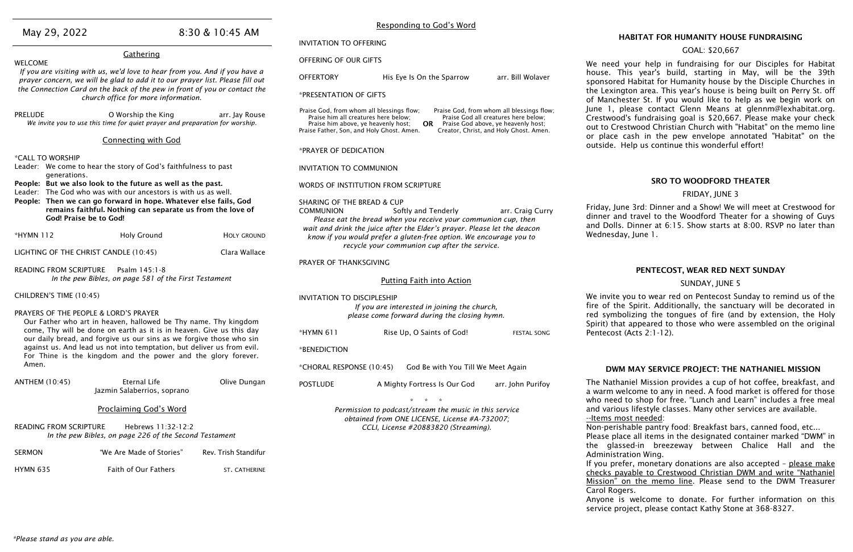| May 29, 2022                                                                                                                                                                  |                                                                                                                                | 8:30 & 10:45 AM      |                                                                                                                                                                                                                                                                                                                                                | Responding to God's Word                                                                                                                       |                                                  |                                                |
|-------------------------------------------------------------------------------------------------------------------------------------------------------------------------------|--------------------------------------------------------------------------------------------------------------------------------|----------------------|------------------------------------------------------------------------------------------------------------------------------------------------------------------------------------------------------------------------------------------------------------------------------------------------------------------------------------------------|------------------------------------------------------------------------------------------------------------------------------------------------|--------------------------------------------------|------------------------------------------------|
|                                                                                                                                                                               |                                                                                                                                |                      | <b>INVITATION TO OFFERING</b>                                                                                                                                                                                                                                                                                                                  |                                                                                                                                                |                                                  | <b>HABI</b>                                    |
|                                                                                                                                                                               | Gathering                                                                                                                      |                      | OFFERING OF OUR GIFTS                                                                                                                                                                                                                                                                                                                          |                                                                                                                                                |                                                  |                                                |
| <b>WELCOME</b><br>If you are visiting with us, we'd love to hear from you. And if you have a<br>prayer concern, we will be glad to add it to our prayer list. Please fill out |                                                                                                                                | <b>OFFERTORY</b>     | His Eye Is On the Sparrow                                                                                                                                                                                                                                                                                                                      | arr. Bill Wolaver                                                                                                                              | We need you<br>house. This<br>sponsored Ha       |                                                |
| the Connection Card on the back of the pew in front of you or contact the<br>church office for more information.                                                              |                                                                                                                                |                      | *PRESENTATION OF GIFTS                                                                                                                                                                                                                                                                                                                         |                                                                                                                                                |                                                  | the Lexington<br>of Manchester                 |
| <b>PRELUDE</b>                                                                                                                                                                | O Worship the King<br>arr. Jay Rouse<br>We invite you to use this time for quiet prayer and preparation for worship.           |                      | Praise God, from whom all blessings flow;<br>Praise God, from whom all blessings flow;<br>Praise him all creatures here below;<br>Praise God all creatures here below;<br>OR Praise God above, ye heavenly host;<br>Praise him above, ye heavenly host;<br>Creator, Christ, and Holy Ghost. Amen.<br>Praise Father, Son, and Holy Ghost. Amen. |                                                                                                                                                | June 1, pleas<br>Crestwood's f<br>out to Crestwo |                                                |
|                                                                                                                                                                               | <b>Connecting with God</b>                                                                                                     |                      |                                                                                                                                                                                                                                                                                                                                                |                                                                                                                                                |                                                  | or place cash<br>outside. Help                 |
| *CALL TO WORSHIP                                                                                                                                                              |                                                                                                                                |                      | *PRAYER OF DEDICATION                                                                                                                                                                                                                                                                                                                          |                                                                                                                                                |                                                  |                                                |
| generations.                                                                                                                                                                  | Leader: We come to hear the story of God's faithfulness to past                                                                |                      | <b>INVITATION TO COMMUNION</b>                                                                                                                                                                                                                                                                                                                 |                                                                                                                                                |                                                  |                                                |
|                                                                                                                                                                               | People: But we also look to the future as well as the past.<br>Leader: The God who was with our ancestors is with us as well.  |                      |                                                                                                                                                                                                                                                                                                                                                | WORDS OF INSTITUTION FROM SCRIPTURE                                                                                                            |                                                  |                                                |
|                                                                                                                                                                               | People: Then we can go forward in hope. Whatever else fails, God<br>remains faithful. Nothing can separate us from the love of |                      | <b>SHARING OF THE BREAD &amp; CUP</b>                                                                                                                                                                                                                                                                                                          |                                                                                                                                                |                                                  | Friday, June 3                                 |
|                                                                                                                                                                               | <b>God! Praise be to God!</b>                                                                                                  |                      | <b>COMMUNION</b>                                                                                                                                                                                                                                                                                                                               | Softly and Tenderly<br>Please eat the bread when you receive your communion cup, then                                                          | arr. Craig Curry                                 | dinner and tra                                 |
| *HYMN 112                                                                                                                                                                     | <b>Holy Ground</b>                                                                                                             | <b>HOLY GROUND</b>   |                                                                                                                                                                                                                                                                                                                                                | wait and drink the juice after the Elder's prayer. Please let the deacon<br>know if you would prefer a gluten-free option. We encourage you to |                                                  | and Dolls. Dir<br>Wednesday, Ju                |
|                                                                                                                                                                               | LIGHTING OF THE CHRIST CANDLE (10:45)                                                                                          | Clara Wallace        |                                                                                                                                                                                                                                                                                                                                                | recycle your communion cup after the service.                                                                                                  |                                                  |                                                |
|                                                                                                                                                                               |                                                                                                                                |                      | PRAYER OF THANKSGIVING                                                                                                                                                                                                                                                                                                                         |                                                                                                                                                |                                                  |                                                |
| <b>READING FROM SCRIPTURE</b><br>Psalm 145:1-8<br>In the pew Bibles, on page 581 of the First Testament                                                                       |                                                                                                                                |                      |                                                                                                                                                                                                                                                                                                                                                | <b>Putting Faith into Action</b>                                                                                                               |                                                  |                                                |
| CHILDREN'S TIME (10:45)                                                                                                                                                       |                                                                                                                                |                      |                                                                                                                                                                                                                                                                                                                                                |                                                                                                                                                |                                                  | We invite you                                  |
|                                                                                                                                                                               |                                                                                                                                |                      | <b>INVITATION TO DISCIPLESHIP</b><br>If you are interested in joining the church,                                                                                                                                                                                                                                                              |                                                                                                                                                |                                                  | fire of the Sp                                 |
| PRAYERS OF THE PEOPLE & LORD'S PRAYER<br>Our Father who art in heaven, hallowed be Thy name. Thy kingdom                                                                      |                                                                                                                                |                      | please come forward during the closing hymn.                                                                                                                                                                                                                                                                                                   |                                                                                                                                                |                                                  | red symbolizi                                  |
|                                                                                                                                                                               | come, Thy will be done on earth as it is in heaven. Give us this day                                                           |                      | *HYMN 611                                                                                                                                                                                                                                                                                                                                      |                                                                                                                                                |                                                  | Spirit) that ap                                |
|                                                                                                                                                                               | our daily bread, and forgive us our sins as we forgive those who sin                                                           |                      |                                                                                                                                                                                                                                                                                                                                                | Rise Up, O Saints of God!                                                                                                                      | <b>FESTAL SONG</b>                               | Pentecost (Act                                 |
|                                                                                                                                                                               | against us. And lead us not into temptation, but deliver us from evil.                                                         |                      | *BENEDICTION                                                                                                                                                                                                                                                                                                                                   |                                                                                                                                                |                                                  |                                                |
| Amen.                                                                                                                                                                         | For Thine is the kingdom and the power and the glory forever.                                                                  |                      | *CHORAL RESPONSE (10:45)                                                                                                                                                                                                                                                                                                                       | God Be with You Till We Meet Again                                                                                                             |                                                  |                                                |
|                                                                                                                                                                               |                                                                                                                                |                      |                                                                                                                                                                                                                                                                                                                                                |                                                                                                                                                |                                                  | DWM M/                                         |
| <b>ANTHEM (10:45)</b>                                                                                                                                                         | <b>Eternal Life</b><br>Jazmin Salaberrios, soprano                                                                             | Olive Dungan         | <b>POSTLUDE</b>                                                                                                                                                                                                                                                                                                                                | A Mighty Fortress Is Our God                                                                                                                   | arr. John Purifoy                                | The Nathaniel<br>a warm welco<br>who need to s |
|                                                                                                                                                                               | <b>Proclaiming God's Word</b>                                                                                                  |                      |                                                                                                                                                                                                                                                                                                                                                | Permission to podcast/stream the music in this service                                                                                         |                                                  | and various lif                                |
|                                                                                                                                                                               |                                                                                                                                |                      |                                                                                                                                                                                                                                                                                                                                                | obtained from ONE LICENSE, License #A-732007;                                                                                                  |                                                  | <u>--Items most r</u>                          |
| <b>READING FROM SCRIPTURE</b>                                                                                                                                                 | Hebrews 11:32-12:2<br>In the pew Bibles, on page 226 of the Second Testament                                                   |                      |                                                                                                                                                                                                                                                                                                                                                | CCLI, License #20883820 (Streaming).                                                                                                           |                                                  | Non-perishabl<br>Please place a                |
|                                                                                                                                                                               |                                                                                                                                |                      |                                                                                                                                                                                                                                                                                                                                                |                                                                                                                                                |                                                  | the glassed-                                   |
| <b>SERMON</b>                                                                                                                                                                 | "We Are Made of Stories"                                                                                                       | Rev. Trish Standifur |                                                                                                                                                                                                                                                                                                                                                |                                                                                                                                                |                                                  | Administration                                 |
| <b>HYMN 635</b>                                                                                                                                                               | Faith of Our Fathers                                                                                                           | ST. CATHERINE        |                                                                                                                                                                                                                                                                                                                                                |                                                                                                                                                |                                                  | If you prefer,<br>checks payabl                |
|                                                                                                                                                                               |                                                                                                                                |                      |                                                                                                                                                                                                                                                                                                                                                |                                                                                                                                                |                                                  | Mission" on t                                  |
|                                                                                                                                                                               |                                                                                                                                |                      |                                                                                                                                                                                                                                                                                                                                                |                                                                                                                                                |                                                  | Carol Rogers.                                  |

#### ABITAT FOR HUMANITY HOUSE FUNDRAISING

#### GOAL: \$20,667

our help in fundraising for our Disciples for Habitat his year's build, starting in May, will be the 39th Habitat for Humanity house by the Disciple Churches in ton area. This year's house is being built on Perry St. off ster St. If you would like to help as we begin work on lease contact Glenn Means at glennm@lexhabitat.org. 's fundraising goal is \$20,667. Please make your check stwood Christian Church with "Habitat" on the memo line cash in the pew envelope annotated "Habitat" on the lelp us continue this wonderful effort!

#### SRO TO WOODFORD THEATER

#### FRIDAY, JUNE 3

e 3rd: Dinner and a Show! We will meet at Crestwood for travel to the Woodford Theater for a showing of Guys Dinner at 6:15. Show starts at 8:00. RSVP no later than , June 1.

#### PENTECOST, WEAR RED NEXT SUNDAY

#### SUNDAY, JUNE 5

ou to wear red on Pentecost Sunday to remind us of the Spirit. Additionally, the sanctuary will be decorated in blizing the tongues of fire (and by extension, the Holy appeared to those who were assembled on the original  $(Acts 2:1-12).$ 

#### MAY SERVICE PROJECT: THE NATHANIEL MISSION

niel Mission provides a cup of hot coffee, breakfast, and Icome to any in need. A food market is offered for those to shop for free. "Lunch and Learn" includes a free meal s lifestyle classes. Many other services are available. ost needed:

able pantry food: Breakfast bars, canned food, etc...

ce all items in the designated container marked "DWM" in ed-in breezeway between Chalice Hall and the ation Wing.

ier, monetary donations are also accepted - please make vable to Crestwood Christian DWM and write "Nathaniel on the memo line. Please send to the DWM Treasurer

Anyone is welcome to donate. For further information on this service project, please contact Kathy Stone at 368-8327.